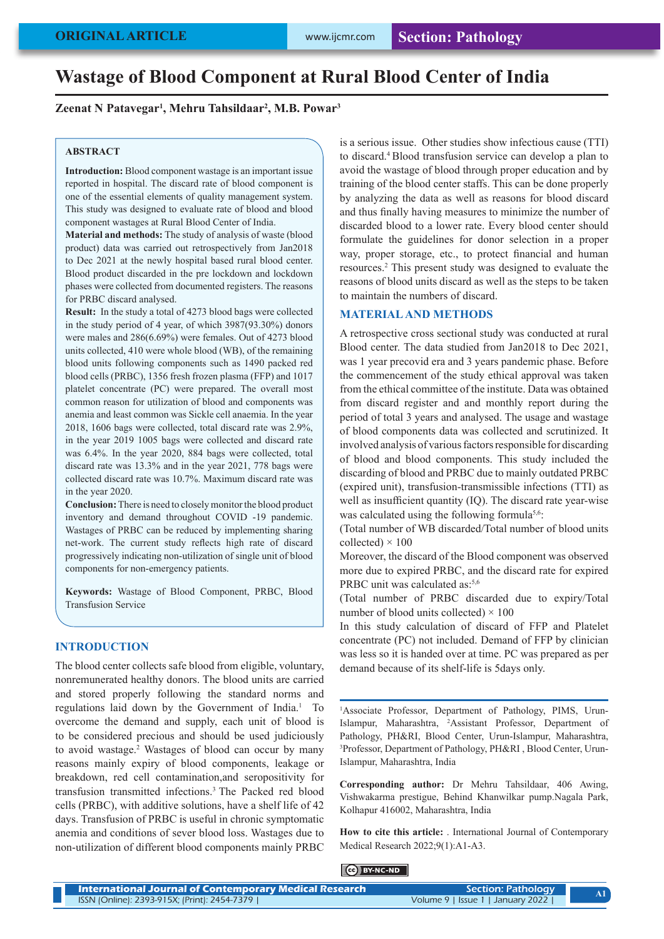# **Wastage of Blood Component at Rural Blood Center of India**

## **Zeenat N Patavegar1 , Mehru Tahsildaar2 , M.B. Powar3**

## **ABSTRACT**

**Introduction:** Blood component wastage is an important issue reported in hospital. The discard rate of blood component is one of the essential elements of quality management system. This study was designed to evaluate rate of blood and blood component wastages at Rural Blood Center of India.

**Material and methods:** The study of analysis of waste (blood product) data was carried out retrospectively from Jan2018 to Dec 2021 at the newly hospital based rural blood center. Blood product discarded in the pre lockdown and lockdown phases were collected from documented registers. The reasons for PRBC discard analysed.

**Result:** In the study a total of 4273 blood bags were collected in the study period of 4 year, of which 3987(93.30%) donors were males and 286(6.69%) were females. Out of 4273 blood units collected, 410 were whole blood (WB), of the remaining blood units following components such as 1490 packed red blood cells (PRBC), 1356 fresh frozen plasma (FFP) and 1017 platelet concentrate (PC) were prepared. The overall most common reason for utilization of blood and components was anemia and least common was Sickle cell anaemia. In the year 2018, 1606 bags were collected, total discard rate was 2.9%, in the year 2019 1005 bags were collected and discard rate was 6.4%. In the year 2020, 884 bags were collected, total discard rate was 13.3% and in the year 2021, 778 bags were collected discard rate was 10.7%. Maximum discard rate was in the year 2020.

**Conclusion:** There is need to closely monitor the blood product inventory and demand throughout COVID -19 pandemic. Wastages of PRBC can be reduced by implementing sharing net-work. The current study reflects high rate of discard progressively indicating non-utilization of single unit of blood components for non-emergency patients.

**Keywords:** Wastage of Blood Component, PRBC, Blood Transfusion Service

# **INTRODUCTION**

The blood center collects safe blood from eligible, voluntary, nonremunerated healthy donors. The blood units are carried and stored properly following the standard norms and regulations laid down by the Government of India.1 To overcome the demand and supply, each unit of blood is to be considered precious and should be used judiciously to avoid wastage.<sup>2</sup> Wastages of blood can occur by many reasons mainly expiry of blood components, leakage or breakdown, red cell contamination,and seropositivity for transfusion transmitted infections.3 The Packed red blood cells (PRBC), with additive solutions, have a shelf life of 42 days. Transfusion of PRBC is useful in chronic symptomatic anemia and conditions of sever blood loss. Wastages due to non-utilization of different blood components mainly PRBC

is a serious issue. Other studies show infectious cause (TTI) to discard.4 Blood transfusion service can develop a plan to avoid the wastage of blood through proper education and by training of the blood center staffs. This can be done properly by analyzing the data as well as reasons for blood discard and thus finally having measures to minimize the number of discarded blood to a lower rate. Every blood center should formulate the guidelines for donor selection in a proper way, proper storage, etc., to protect financial and human resources.2 This present study was designed to evaluate the reasons of blood units discard as well as the steps to be taken to maintain the numbers of discard.

## **MATERIAL AND METHODS**

A retrospective cross sectional study was conducted at rural Blood center. The data studied from Jan2018 to Dec 2021, was 1 year precovid era and 3 years pandemic phase. Before the commencement of the study ethical approval was taken from the ethical committee of the institute. Data was obtained from discard register and and monthly report during the period of total 3 years and analysed. The usage and wastage of blood components data was collected and scrutinized. It involved analysis of various factors responsible for discarding of blood and blood components. This study included the discarding of blood and PRBC due to mainly outdated PRBC (expired unit), transfusion-transmissible infections (TTI) as well as insufficient quantity (IQ). The discard rate year-wise was calculated using the following formula<sup>5,6</sup>:

(Total number of WB discarded/Total number of blood units collected)  $\times$  100

Moreover, the discard of the Blood component was observed more due to expired PRBC, and the discard rate for expired PRBC unit was calculated as:<sup>5,6</sup>

(Total number of PRBC discarded due to expiry/Total number of blood units collected)  $\times$  100

In this study calculation of discard of FFP and Platelet concentrate (PC) not included. Demand of FFP by clinician was less so it is handed over at time. PC was prepared as per demand because of its shelf-life is 5days only.

<sup>1</sup>Associate Professor, Department of Pathology, PIMS, Urun-Islampur, Maharashtra, 2 Assistant Professor, Department of Pathology, PH&RI, Blood Center, Urun-Islampur, Maharashtra, 3 Professor, Department of Pathology, PH&RI , Blood Center, Urun-Islampur, Maharashtra, India

**Corresponding author:** Dr Mehru Tahsildaar, 406 Awing, Vishwakarma prestigue, Behind Khanwilkar pump.Nagala Park, Kolhapur 416002, Maharashtra, India

**How to cite this article:** . International Journal of Contemporary Medical Research 2022;9(1):A1-A3.

### BY-NC-ND

| International Journal of Contemporary Medical Research | Section: Pathology                | A1 |
|--------------------------------------------------------|-----------------------------------|----|
| ISSN (Online): 2393-915X; (Print): 2454-7379           | Volume 9   Issue 1   January 2022 |    |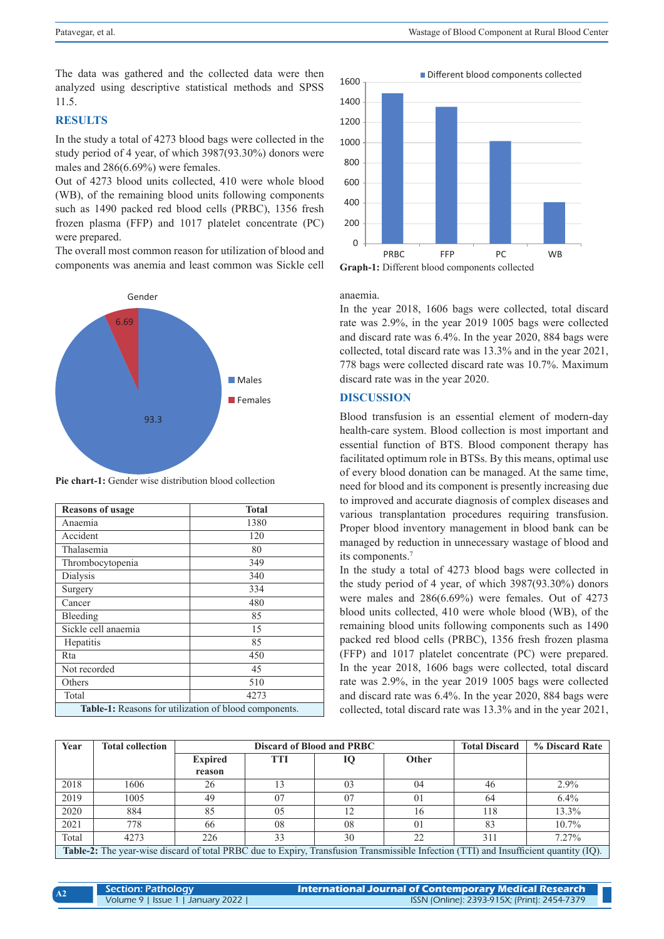The data was gathered and the collected data were then analyzed using descriptive statistical methods and SPSS 11.5.

# **RESULTS**

In the study a total of 4273 blood bags were collected in the study period of 4 year, of which 3987(93.30%) donors were males and 286(6.69%) were females.

Out of 4273 blood units collected, 410 were whole blood (WB), of the remaining blood units following components such as 1490 packed red blood cells (PRBC), 1356 fresh frozen plasma (FFP) and 1017 platelet concentrate (PC) were prepared.

The overall most common reason for utilization of blood and components was anemia and least common was Sickle cell



**Pie chart-1:** Gender wise distribution blood collection

| <b>Reasons of usage</b>                               | <b>Total</b> |  |  |  |  |
|-------------------------------------------------------|--------------|--|--|--|--|
| Anaemia                                               | 1380         |  |  |  |  |
| Accident                                              | 120          |  |  |  |  |
| Thalasemia                                            | 80           |  |  |  |  |
| Thrombocytopenia                                      | 349          |  |  |  |  |
| Dialysis                                              | 340          |  |  |  |  |
| Surgery                                               | 334          |  |  |  |  |
| Cancer                                                | 480          |  |  |  |  |
| Bleeding                                              | 85           |  |  |  |  |
| Sickle cell anaemia                                   | 15           |  |  |  |  |
| Hepatitis                                             | 85           |  |  |  |  |
| Rta                                                   | 450          |  |  |  |  |
| Not recorded                                          | 45           |  |  |  |  |
| Others                                                | 510          |  |  |  |  |
| Total                                                 | 4273         |  |  |  |  |
| Table-1: Reasons for utilization of blood components. |              |  |  |  |  |





#### anaemia.

In the year 2018, 1606 bags were collected, total discard rate was 2.9%, in the year 2019 1005 bags were collected and discard rate was 6.4%. In the year 2020, 884 bags were collected, total discard rate was 13.3% and in the year 2021, 778 bags were collected discard rate was 10.7%. Maximum discard rate was in the year 2020.

# **DISCUSSION**

Blood transfusion is an essential element of modern-day health-care system. Blood collection is most important and essential function of BTS. Blood component therapy has facilitated optimum role in BTSs. By this means, optimal use of every blood donation can be managed. At the same time, need for blood and its component is presently increasing due to improved and accurate diagnosis of complex diseases and various transplantation procedures requiring transfusion. Proper blood inventory management in blood bank can be managed by reduction in unnecessary wastage of blood and its components.7

In the study a total of 4273 blood bags were collected in the study period of 4 year, of which 3987(93.30%) donors were males and 286(6.69%) were females. Out of 4273 blood units collected, 410 were whole blood (WB), of the remaining blood units following components such as 1490 packed red blood cells (PRBC), 1356 fresh frozen plasma (FFP) and 1017 platelet concentrate (PC) were prepared. In the year 2018, 1606 bags were collected, total discard rate was 2.9%, in the year 2019 1005 bags were collected and discard rate was 6.4%. In the year 2020, 884 bags were collected, total discard rate was 13.3% and in the year 2021,

| Year                                                                                                                                         | <b>Total collection</b> | <b>Discard of Blood and PRBC</b> |            |    |                | <b>Total Discard</b> | % Discard Rate |  |
|----------------------------------------------------------------------------------------------------------------------------------------------|-------------------------|----------------------------------|------------|----|----------------|----------------------|----------------|--|
|                                                                                                                                              |                         | <b>Expired</b>                   | <b>TTI</b> | 10 | Other          |                      |                |  |
|                                                                                                                                              |                         | reason                           |            |    |                |                      |                |  |
| 2018                                                                                                                                         | 1606                    | 26                               | 13         | 03 | 04             | 46                   | $2.9\%$        |  |
| 2019                                                                                                                                         | 1005                    | 49                               | 07         | 07 | $\Omega$       | 64                   | $6.4\%$        |  |
| 2020                                                                                                                                         | 884                     | 85                               | 05         | 12 | 16             | 118                  | 13.3%          |  |
| 2021                                                                                                                                         | 778                     | 66                               | 08         | 08 | 0 <sub>1</sub> | 83                   | $10.7\%$       |  |
| Total                                                                                                                                        | 4273                    | 226                              | 33         | 30 | 22             | 311                  | $7.27\%$       |  |
| <b>Table-2:</b> The year-wise discard of total PRBC due to Expiry, Transfusion Transmissible Infection (TTI) and Insufficient quantity (IQ). |                         |                                  |            |    |                |                      |                |  |